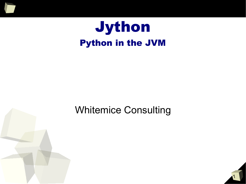

# Jython Python in the JVM

#### Whitemice Consulting

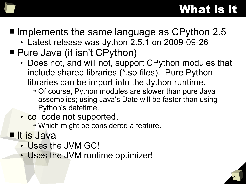# What is it

- Implements the same language as CPython 2.5
	- Latest release was Jython 2.5.1 on 2009-09-26
- Pure Java (it isn't CPython)
	- Does not, and will not, support CPython modules that include shared libraries (\*.so files). Pure Python libraries can be import into the Jython runtime.
		- ➔ Of course, Python modules are slower than pure Java assemblies; using Java's Date will be faster than using Python's datetime.
	- co code not supported.
		- ➔ Which might be considered a feature.
- It is Java
	- Uses the JVM GC!
	- Uses the JVM runtime optimizer!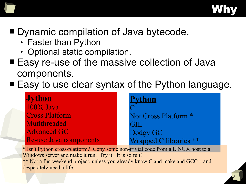

### ■ Dynamic compilation of Java bytecode.

- Faster than Python
- Optional static compilation.
- Easy re-use of the massive collection of Java components.
- Easy to use clear syntax of the Python language.

| <b>Jython</b>          | <b>Python</b>                   |
|------------------------|---------------------------------|
| $100\%$ Java           |                                 |
| <b>Cross Platform</b>  | Not Cross Platform <sup>*</sup> |
| Mutlthreaded           | GIL                             |
| <b>Advanced GC</b>     | Dodgy GC                        |
| Re-use Java components | Wrapped C libraries **          |

\* Isn't Python cross-platform? Copy some non-trivial code from a LINUX host to a Windows server and make it run. Try it. It is so fun! \*\* Not a fun weekend project, unless you already know C and make and GCC – and desperately need a life.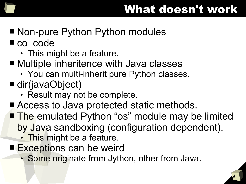

- Non-pure Python Python modules
- co\_code
	- $\cdot$  This might be a feature.
- Multiple inheritence with Java classes
	- You can multi-inherit pure Python classes.
- dir(javaObject)
	- Result may not be complete.
- Access to Java protected static methods.
- The emulated Python "os" module may be limited by Java sandboxing (configuration dependent).
	- This might be a feature.
- Exceptions can be weird
	- Some originate from Jython, other from Java.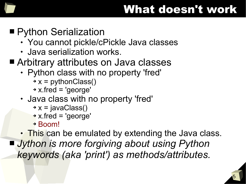

### ■ Python Serialization

- You cannot pickle/cPickle Java classes
- Java serialization works.

#### ■ Arbitrary attributes on Java classes

- Python class with no property 'fred'
	- $\rightarrow$  x = pythonClass()
	- ➔ x.fred = 'george'
- Java class with no property 'fred'
	- $\rightarrow$  x = javaClass()
	- ➔ x.fred = 'george'
	- ➔ Boom!
- This can be emulated by extending the Java class.

■ *Jython is more forgiving about using Python keywords (aka 'print') as methods/attributes.*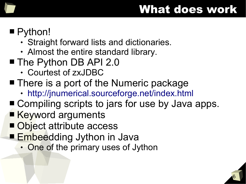## What does work

## ■ Python!

- Straight forward lists and dictionaries.
- Almost the entire standard library.
- The Python DB API 2.0
	- Courtest of zxJDBC
- There is a port of the Numeric package
	- <http://jnumerical.sourceforge.net/index.html>
- Compiling scripts to jars for use by Java apps.
- Keyword arguments
- Object attribute access
- Embeedding Jython in Java
	- One of the primary uses of Jython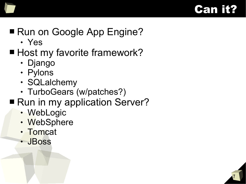

7

## ■ Run on Google App Engine?

- Yes
- Host my favorite framework?
	- Django
	- Pylons
	- SQLalchemy
	- TurboGears (w/patches?)
- Run in my application Server?
	- WebLogic
	- WebSphere
	- Tomcat
	- JBoss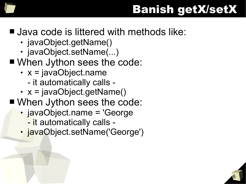## Banish getX/setX

#### ■ Java code is littered with methods like:

- javaObject.getName()
- javaObject.setName(...)
- When Jython sees the code:
	- $\cdot$  x = javaObject.name
		- it automatically calls -
	- $\cdot$  x = javaObject.getName()
- When Jython sees the code:
	- javaObject.name = 'George
		- it automatically calls -
	- javaObject.setName('George')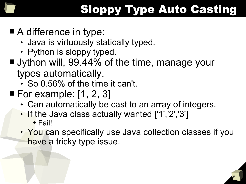# Sloppy Type Auto Casting

## ■ A difference in type:

- Java is virtuously statically typed.
- Python is sloppy typed.

### ■ Jython will, 99.44% of the time, manage your types automatically.

- So 0.56% of the time it can't.
- $\blacksquare$  For example: [1, 2, 3]
	- Can automatically be cast to an array of integers.
	- If the Java class actually wanted ['1','2','3'] ➔ Fail!
	- You can specifically use Java collection classes if you have a tricky type issue.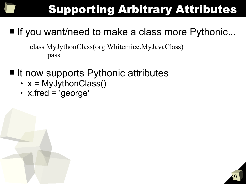# Supporting Arbitrary Attributes

10

## ■ If you want/need to make a class more Pythonic...

class MyJythonClass(org.Whitemice.MyJavaClass) pass

- It now supports Pythonic attributes
	- $\cdot$  x = MyJythonClass()
	- x.fred = 'george'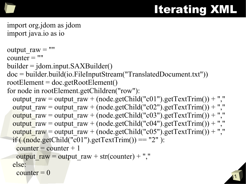# Iterating XML

11

```
import org.jdom as jdom
import java.io as io
```

```
output raw = ""counter = ""builder = jdom.input.SAXBuilder()
doc = builder.build(io.FileInputStream("TranslatedDocument.txt"))
rootElement = doc.getRootElement()for node in rootElement.getChildren("row"):
 output raw = output raw + (node.getChild("c01").getTextTrim()) + ","
 output raw = output raw + (node.getChild("c02").getTextTrim()) + ","
 output raw = output raw + (node.getChild("c03").getTextTrim()) + ","
 output raw = output raw + (node.getChild("c04").getTextTrim()) + ","
 output_raw = output_raw + (node.getChild("c05").getTextTrim()) + ","
 if ((node.getChild("c01").getTextTrim()) == "2" ):
   counter = counter + 1output raw = output raw + str(counter) + "," else:
   counter = 0
```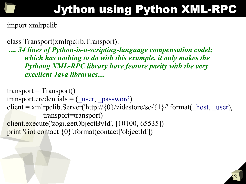# Jython using Python XML-RPC

import xmlrpclib

class Transport(xmlrpclib.Transport):

*.... 34 lines of Python-is-a-scripting-language compensation codel; which has nothing to do with this example, it only makes the Pythong XML-RPC library have feature parity with the very excellent Java librarues....*

 $transport = Transport()$ transport.credentials  $=$  ( $user,$  password) client = xmlrpclib.Server('http://{0}/zidestore/so/{1}/'.format(\_host, \_user), transport=transport) client.execute('zogi.getObjectById', [10100, 65535]) print 'Got contact {0}'.format(contact['objectId'])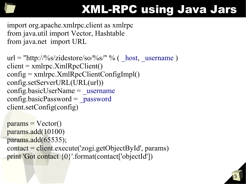

# XML-RPC using Java Jars

import org.apache.xmlrpc.client as xmlrpc from java.util import Vector, Hashtable from java.net import URL

```
url = "http://%s/zidestore/so/%s/" % (host, username)client = xmlrpc.XmlRpcClient()config = \text{xmlrpc}. XmlRpcClientConfigImpl()
config.setServerURL(URL(url))
config.\text{basicUserName} = \text{username}config.\text{basicPassword} = password
client.setConfig(config)
```

```
params = Vector()params.add(10100)
params.add(65535);
contact = client.execute('zogi.getObjectById', params)
print 'Got contact {0}'.format(contact['objectId'])
```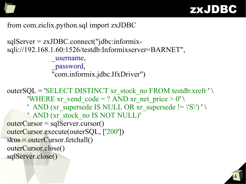

#### from com.ziclix.python.sql import zxJDBC

```
sqlServer = zxJDBC.connect("jdbc:informix-
sqli://192.168.1.60:1526/testdb:Informixserver=BARNET",
                _username,
                _password,
                "com.informix.jdbc.IfxDriver")
outerSQL = 'SELECT DISTINCT xr_stock_no FROM testdb:xrefr ' \setminus'WHERE xr_vend_code = ? AND xr_net_price > 0' \setminus' AND (xr_supersede IS NULL OR xr_supersede != \langle 'S \rangle') ' \setminus ' AND (xr_stock_no IS NOT NULL)'
outerCursor = sqlServer.cursor()
outerCursor.execute(outerSQL, ['200'])
skus = outerCursor.fetchall()
outerCursor.close()
sqlServer.close()
```